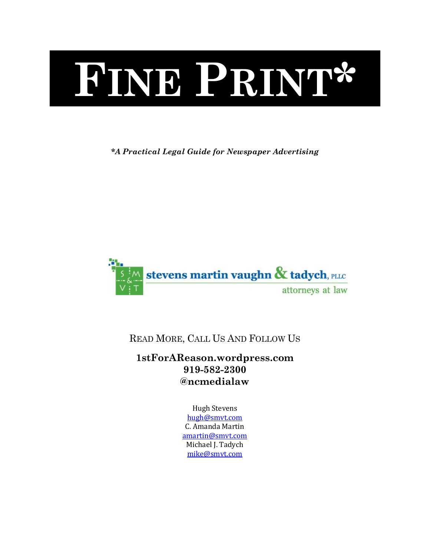# **FINE PRINT\***

*\*A Practical Legal Guide for Newspaper Advertising*



READ MORE, CALL US AND FOLLOW US

**1stForAReason.wordpress.com 919-582-2300 @ncmedialaw**

> Hugh Stevens [hugh@smvt.com](mailto:hugh@smvt.com) C. Amanda Martin [amartin@smvt.com](mailto:amartin@smvt.com) Michael J. Tadych [mike@smvt.com](mailto:mike@smvt.com)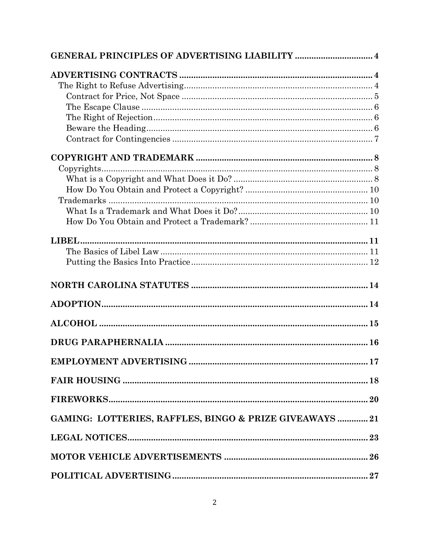|                                                         | 17 |
|---------------------------------------------------------|----|
|                                                         |    |
|                                                         |    |
| GAMING: LOTTERIES, RAFFLES, BINGO & PRIZE GIVEAWAYS  21 |    |
|                                                         |    |
|                                                         |    |
|                                                         |    |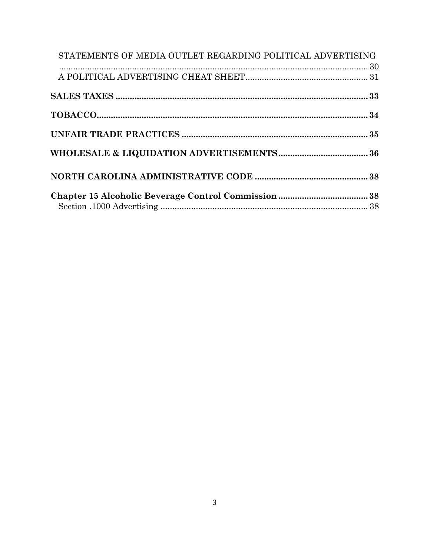| STATEMENTS OF MEDIA OUTLET REGARDING POLITICAL ADVERTISING |  |
|------------------------------------------------------------|--|
|                                                            |  |
|                                                            |  |
|                                                            |  |
|                                                            |  |
|                                                            |  |
|                                                            |  |
|                                                            |  |
|                                                            |  |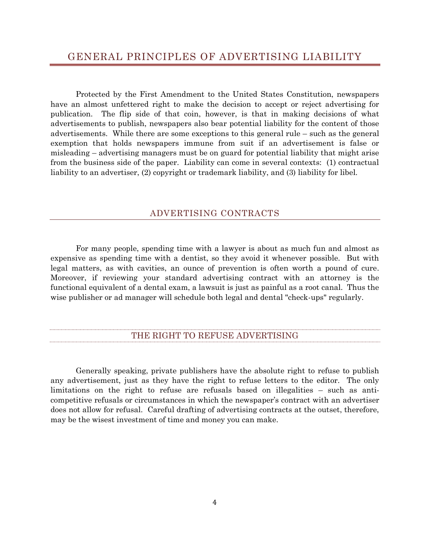<span id="page-3-0"></span>Protected by the First Amendment to the United States Constitution, newspapers have an almost unfettered right to make the decision to accept or reject advertising for publication. The flip side of that coin, however, is that in making decisions of what advertisements to publish, newspapers also bear potential liability for the content of those advertisements. While there are some exceptions to this general rule – such as the general exemption that holds newspapers immune from suit if an advertisement is false or misleading – advertising managers must be on guard for potential liability that might arise from the business side of the paper. Liability can come in several contexts: (1) contractual liability to an advertiser, (2) copyright or trademark liability, and (3) liability for libel.

## ADVERTISING CONTRACTS

<span id="page-3-1"></span>For many people, spending time with a lawyer is about as much fun and almost as expensive as spending time with a dentist, so they avoid it whenever possible. But with legal matters, as with cavities, an ounce of prevention is often worth a pound of cure. Moreover, if reviewing your standard advertising contract with an attorney is the functional equivalent of a dental exam, a lawsuit is just as painful as a root canal. Thus the wise publisher or ad manager will schedule both legal and dental "check-ups" regularly.

## THE RIGHT TO REFUSE ADVERTISING

<span id="page-3-2"></span>Generally speaking, private publishers have the absolute right to refuse to publish any advertisement, just as they have the right to refuse letters to the editor. The only limitations on the right to refuse are refusals based on illegalities – such as anticompetitive refusals or circumstances in which the newspaper's contract with an advertiser does not allow for refusal. Careful drafting of advertising contracts at the outset, therefore, may be the wisest investment of time and money you can make.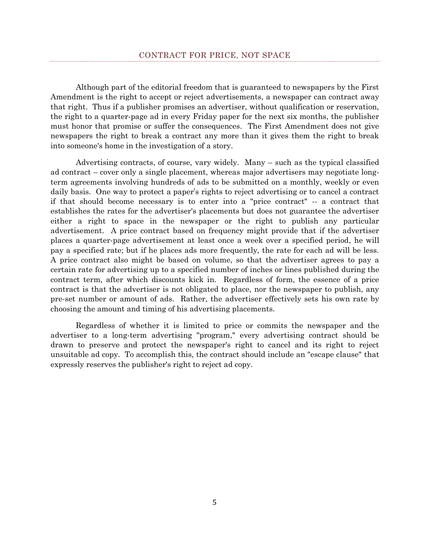<span id="page-4-0"></span>Although part of the editorial freedom that is guaranteed to newspapers by the First Amendment is the right to accept or reject advertisements, a newspaper can contract away that right. Thus if a publisher promises an advertiser, without qualification or reservation, the right to a quarter-page ad in every Friday paper for the next six months, the publisher must honor that promise or suffer the consequences. The First Amendment does not give newspapers the right to break a contract any more than it gives them the right to break into someone's home in the investigation of a story.

Advertising contracts, of course, vary widely. Many – such as the typical classified ad contract – cover only a single placement, whereas major advertisers may negotiate longterm agreements involving hundreds of ads to be submitted on a monthly, weekly or even daily basis. One way to protect a paper's rights to reject advertising or to cancel a contract if that should become necessary is to enter into a "price contract" -- a contract that establishes the rates for the advertiser's placements but does not guarantee the advertiser either a right to space in the newspaper or the right to publish any particular advertisement. A price contract based on frequency might provide that if the advertiser places a quarter-page advertisement at least once a week over a specified period, he will pay a specified rate; but if he places ads more frequently, the rate for each ad will be less. A price contract also might be based on volume, so that the advertiser agrees to pay a certain rate for advertising up to a specified number of inches or lines published during the contract term, after which discounts kick in. Regardless of form, the essence of a price contract is that the advertiser is not obligated to place, nor the newspaper to publish, any pre-set number or amount of ads. Rather, the advertiser effectively sets his own rate by choosing the amount and timing of his advertising placements.

Regardless of whether it is limited to price or commits the newspaper and the advertiser to a long-term advertising "program," every advertising contract should be drawn to preserve and protect the newspaper's right to cancel and its right to reject unsuitable ad copy. To accomplish this, the contract should include an "escape clause" that expressly reserves the publisher's right to reject ad copy.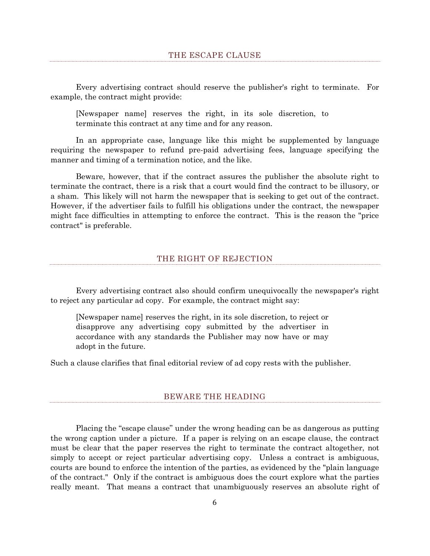<span id="page-5-0"></span>Every advertising contract should reserve the publisher's right to terminate. For example, the contract might provide:

[Newspaper name] reserves the right, in its sole discretion, to terminate this contract at any time and for any reason.

In an appropriate case, language like this might be supplemented by language requiring the newspaper to refund pre-paid advertising fees, language specifying the manner and timing of a termination notice, and the like.

Beware, however, that if the contract assures the publisher the absolute right to terminate the contract, there is a risk that a court would find the contract to be illusory, or a sham. This likely will not harm the newspaper that is seeking to get out of the contract. However, if the advertiser fails to fulfill his obligations under the contract, the newspaper might face difficulties in attempting to enforce the contract. This is the reason the "price contract" is preferable.

## THE RIGHT OF REJECTION

<span id="page-5-1"></span>Every advertising contract also should confirm unequivocally the newspaper's right to reject any particular ad copy. For example, the contract might say:

[Newspaper name] reserves the right, in its sole discretion, to reject or disapprove any advertising copy submitted by the advertiser in accordance with any standards the Publisher may now have or may adopt in the future.

<span id="page-5-2"></span>Such a clause clarifies that final editorial review of ad copy rests with the publisher.

#### BEWARE THE HEADING

Placing the "escape clause" under the wrong heading can be as dangerous as putting the wrong caption under a picture. If a paper is relying on an escape clause, the contract must be clear that the paper reserves the right to terminate the contract altogether, not simply to accept or reject particular advertising copy. Unless a contract is ambiguous, courts are bound to enforce the intention of the parties, as evidenced by the "plain language of the contract." Only if the contract is ambiguous does the court explore what the parties really meant. That means a contract that unambiguously reserves an absolute right of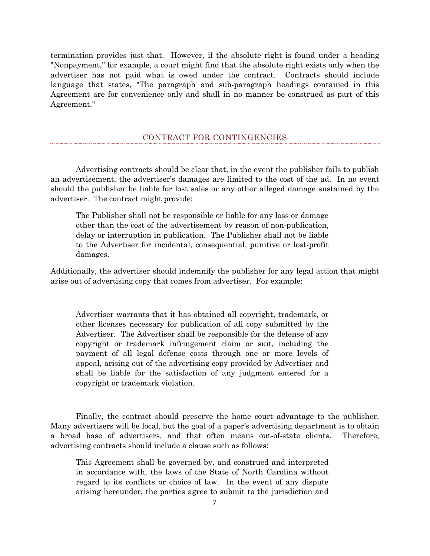termination provides just that. However, if the absolute right is found under a heading "Nonpayment," for example, a court might find that the absolute right exists only when the advertiser has not paid what is owed under the contract. Contracts should include language that states, "The paragraph and sub-paragraph headings contained in this Agreement are for convenience only and shall in no manner be construed as part of this Agreement."

#### CONTRACT FOR CONTINGENCIES

<span id="page-6-0"></span>Advertising contracts should be clear that, in the event the publisher fails to publish an advertisement, the advertiser's damages are limited to the cost of the ad. In no event should the publisher be liable for lost sales or any other alleged damage sustained by the advertiser. The contract might provide:

The Publisher shall not be responsible or liable for any loss or damage other than the cost of the advertisement by reason of non-publication, delay or interruption in publication. The Publisher shall not be liable to the Advertiser for incidental, consequential, punitive or lost-profit damages.

Additionally, the advertiser should indemnify the publisher for any legal action that might arise out of advertising copy that comes from advertiser. For example:

Advertiser warrants that it has obtained all copyright, trademark, or other licenses necessary for publication of all copy submitted by the Advertiser. The Advertiser shall be responsible for the defense of any copyright or trademark infringement claim or suit, including the payment of all legal defense costs through one or more levels of appeal, arising out of the advertising copy provided by Advertiser and shall be liable for the satisfaction of any judgment entered for a copyright or trademark violation.

Finally, the contract should preserve the home court advantage to the publisher. Many advertisers will be local, but the goal of a paper's advertising department is to obtain a broad base of advertisers, and that often means out-of-state clients. Therefore, advertising contracts should include a clause such as follows:

This Agreement shall be governed by, and construed and interpreted in accordance with, the laws of the State of North Carolina without regard to its conflicts or choice of law. In the event of any dispute arising hereunder, the parties agree to submit to the jurisdiction and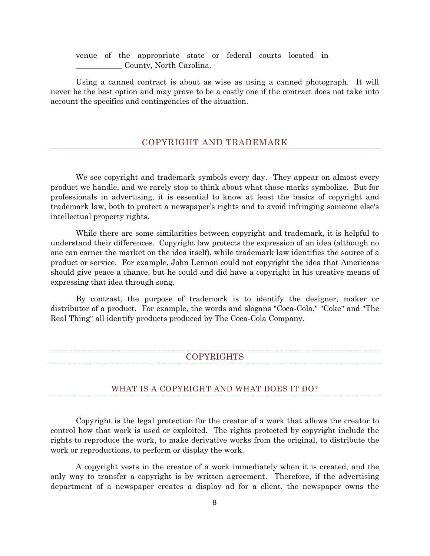venue of the appropriate state or federal courts located in \_\_\_\_\_\_\_\_\_\_\_\_ County, North Carolina.

Using a canned contract is about as wise as using a canned photograph. It will never be the best option and may prove to be a costly one if the contract does not take into account the specifics and contingencies of the situation.

## COPYRIGHT AND TRADEMARK

<span id="page-7-0"></span>We see copyright and trademark symbols every day. They appear on almost every product we handle, and we rarely stop to think about what those marks symbolize. But for professionals in advertising, it is essential to know at least the basics of copyright and trademark law, both to protect a newspaper's rights and to avoid infringing someone else's intellectual property rights.

While there are some similarities between copyright and trademark, it is helpful to understand their differences. Copyright law protects the expression of an idea (although no one can corner the market on the idea itself), while trademark law identifies the source of a product or service. For example, John Lennon could not copyright the idea that Americans should give peace a chance, but he could and did have a copyright in his creative means of expressing that idea through song.

<span id="page-7-1"></span>By contrast, the purpose of trademark is to identify the designer, maker or distributor of a product. For example, the words and slogans "Coca-Cola," "Coke" and "The Real Thing" all identify products produced by The Coca-Cola Company.

#### COPYRIGHTS

#### WHAT IS A COPYRIGHT AND WHAT DOES IT DO?

<span id="page-7-2"></span>Copyright is the legal protection for the creator of a work that allows the creator to control how that work is used or exploited. The rights protected by copyright include the rights to reproduce the work, to make derivative works from the original, to distribute the work or reproductions, to perform or display the work.

A copyright vests in the creator of a work immediately when it is created, and the only way to transfer a copyright is by written agreement. Therefore, if the advertising department of a newspaper creates a display ad for a client, the newspaper owns the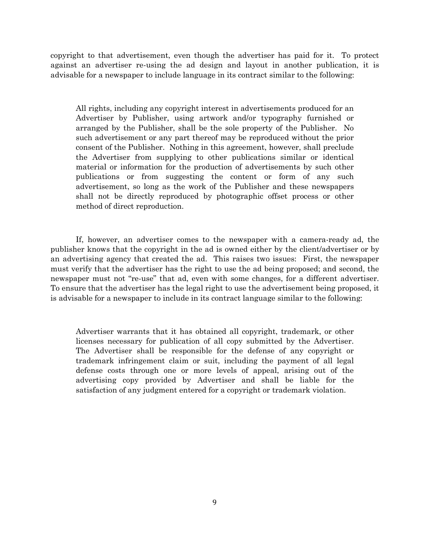copyright to that advertisement, even though the advertiser has paid for it. To protect against an advertiser re-using the ad design and layout in another publication, it is advisable for a newspaper to include language in its contract similar to the following:

All rights, including any copyright interest in advertisements produced for an Advertiser by Publisher, using artwork and/or typography furnished or arranged by the Publisher, shall be the sole property of the Publisher. No such advertisement or any part thereof may be reproduced without the prior consent of the Publisher. Nothing in this agreement, however, shall preclude the Advertiser from supplying to other publications similar or identical material or information for the production of advertisements by such other publications or from suggesting the content or form of any such advertisement, so long as the work of the Publisher and these newspapers shall not be directly reproduced by photographic offset process or other method of direct reproduction.

If, however, an advertiser comes to the newspaper with a camera-ready ad, the publisher knows that the copyright in the ad is owned either by the client/advertiser or by an advertising agency that created the ad. This raises two issues: First, the newspaper must verify that the advertiser has the right to use the ad being proposed; and second, the newspaper must not "re-use" that ad, even with some changes, for a different advertiser. To ensure that the advertiser has the legal right to use the advertisement being proposed, it is advisable for a newspaper to include in its contract language similar to the following:

Advertiser warrants that it has obtained all copyright, trademark, or other licenses necessary for publication of all copy submitted by the Advertiser. The Advertiser shall be responsible for the defense of any copyright or trademark infringement claim or suit, including the payment of all legal defense costs through one or more levels of appeal, arising out of the advertising copy provided by Advertiser and shall be liable for the satisfaction of any judgment entered for a copyright or trademark violation.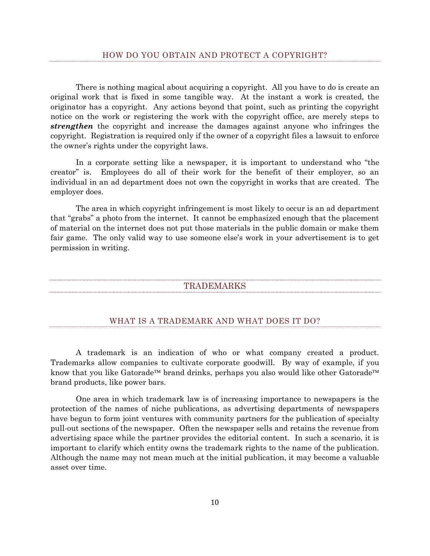<span id="page-9-0"></span>There is nothing magical about acquiring a copyright. All you have to do is create an original work that is fixed in some tangible way. At the instant a work is created, the originator has a copyright. Any actions beyond that point, such as printing the copyright notice on the work or registering the work with the copyright office, are merely steps to *strengthen* the copyright and increase the damages against anyone who infringes the copyright. Registration is required only if the owner of a copyright files a lawsuit to enforce the owner's rights under the copyright laws.

In a corporate setting like a newspaper, it is important to understand who "the creator" is. Employees do all of their work for the benefit of their employer, so an individual in an ad department does not own the copyright in works that are created. The employer does.

<span id="page-9-1"></span>The area in which copyright infringement is most likely to occur is an ad department that "grabs" a photo from the internet. It cannot be emphasized enough that the placement of material on the internet does not put those materials in the public domain or make them fair game. The only valid way to use someone else's work in your advertisement is to get permission in writing.

#### TRADEMARKS

#### WHAT IS A TRADEMARK AND WHAT DOES IT DO?

<span id="page-9-2"></span>A trademark is an indication of who or what company created a product. Trademarks allow companies to cultivate corporate goodwill. By way of example, if you know that you like Gatorade<sup> $TM$ </sup> brand drinks, perhaps you also would like other Gatorade<sup> $TM$ </sup> brand products, like power bars.

One area in which trademark law is of increasing importance to newspapers is the protection of the names of niche publications, as advertising departments of newspapers have begun to form joint ventures with community partners for the publication of specialty pull-out sections of the newspaper. Often the newspaper sells and retains the revenue from advertising space while the partner provides the editorial content. In such a scenario, it is important to clarify which entity owns the trademark rights to the name of the publication. Although the name may not mean much at the initial publication, it may become a valuable asset over time.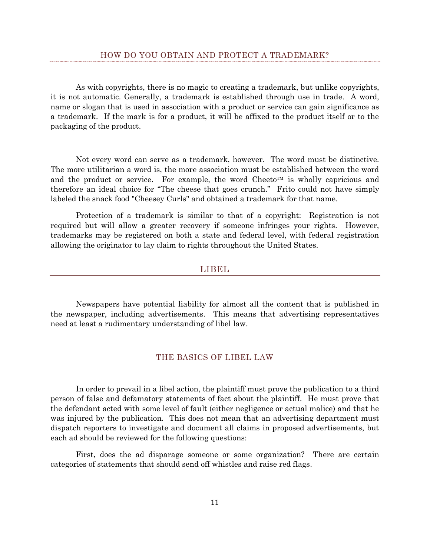<span id="page-10-0"></span>As with copyrights, there is no magic to creating a trademark, but unlike copyrights, it is not automatic. Generally, a trademark is established through use in trade. A word, name or slogan that is used in association with a product or service can gain significance as a trademark. If the mark is for a product, it will be affixed to the product itself or to the packaging of the product.

Not every word can serve as a trademark, however. The word must be distinctive. The more utilitarian a word is, the more association must be established between the word and the product or service. For example, the word Cheeto<sup> $M$ </sup> is wholly capricious and therefore an ideal choice for "The cheese that goes crunch." Frito could not have simply labeled the snack food "Cheesey Curls" and obtained a trademark for that name.

<span id="page-10-1"></span>Protection of a trademark is similar to that of a copyright: Registration is not required but will allow a greater recovery if someone infringes your rights. However, trademarks may be registered on both a state and federal level, with federal registration allowing the originator to lay claim to rights throughout the United States.

#### LIBEL

Newspapers have potential liability for almost all the content that is published in the newspaper, including advertisements. This means that advertising representatives need at least a rudimentary understanding of libel law.

#### THE BASICS OF LIBEL LAW

<span id="page-10-2"></span>In order to prevail in a libel action, the plaintiff must prove the publication to a third person of false and defamatory statements of fact about the plaintiff. He must prove that the defendant acted with some level of fault (either negligence or actual malice) and that he was injured by the publication. This does not mean that an advertising department must dispatch reporters to investigate and document all claims in proposed advertisements, but each ad should be reviewed for the following questions:

First, does the ad disparage someone or some organization? There are certain categories of statements that should send off whistles and raise red flags.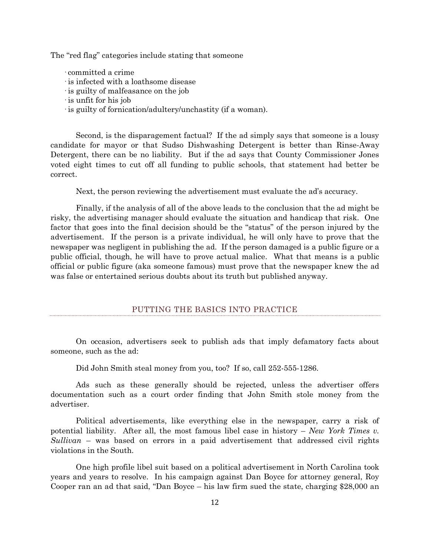The "red flag" categories include stating that someone

- · committed a crime
- · is infected with a loathsome disease
- · is guilty of malfeasance on the job
- · is unfit for his job
- · is guilty of fornication/adultery/unchastity (if a woman).

Second, is the disparagement factual? If the ad simply says that someone is a lousy candidate for mayor or that Sudso Dishwashing Detergent is better than Rinse-Away Detergent, there can be no liability. But if the ad says that County Commissioner Jones voted eight times to cut off all funding to public schools, that statement had better be correct.

Next, the person reviewing the advertisement must evaluate the ad's accuracy.

Finally, if the analysis of all of the above leads to the conclusion that the ad might be risky, the advertising manager should evaluate the situation and handicap that risk. One factor that goes into the final decision should be the "status" of the person injured by the advertisement. If the person is a private individual, he will only have to prove that the newspaper was negligent in publishing the ad. If the person damaged is a public figure or a public official, though, he will have to prove actual malice. What that means is a public official or public figure (aka someone famous) must prove that the newspaper knew the ad was false or entertained serious doubts about its truth but published anyway.

#### PUTTING THE BASICS INTO PRACTICE

<span id="page-11-0"></span>On occasion, advertisers seek to publish ads that imply defamatory facts about someone, such as the ad:

Did John Smith steal money from you, too? If so, call 252-555-1286.

Ads such as these generally should be rejected, unless the advertiser offers documentation such as a court order finding that John Smith stole money from the advertiser.

Political advertisements, like everything else in the newspaper, carry a risk of potential liability. After all, the most famous libel case in history – *New York Times v. Sullivan* – was based on errors in a paid advertisement that addressed civil rights violations in the South.

One high profile libel suit based on a political advertisement in North Carolina took years and years to resolve. In his campaign against Dan Boyce for attorney general, Roy Cooper ran an ad that said, "Dan Boyce – his law firm sued the state, charging \$28,000 an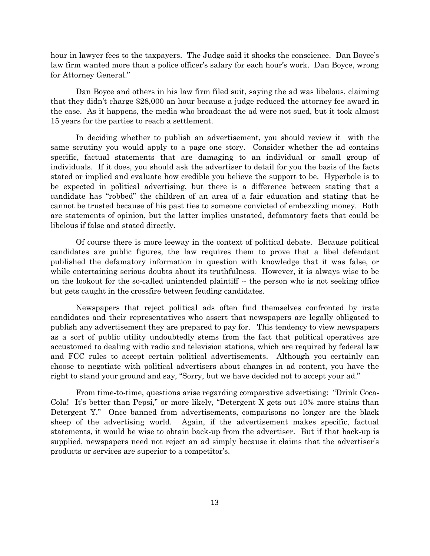hour in lawyer fees to the taxpayers. The Judge said it shocks the conscience. Dan Boyce's law firm wanted more than a police officer's salary for each hour's work. Dan Boyce, wrong for Attorney General."

Dan Boyce and others in his law firm filed suit, saying the ad was libelous, claiming that they didn't charge \$28,000 an hour because a judge reduced the attorney fee award in the case. As it happens, the media who broadcast the ad were not sued, but it took almost 15 years for the parties to reach a settlement.

In deciding whether to publish an advertisement, you should review it with the same scrutiny you would apply to a page one story. Consider whether the ad contains specific, factual statements that are damaging to an individual or small group of individuals. If it does, you should ask the advertiser to detail for you the basis of the facts stated or implied and evaluate how credible you believe the support to be. Hyperbole is to be expected in political advertising, but there is a difference between stating that a candidate has "robbed" the children of an area of a fair education and stating that he cannot be trusted because of his past ties to someone convicted of embezzling money. Both are statements of opinion, but the latter implies unstated, defamatory facts that could be libelous if false and stated directly.

Of course there is more leeway in the context of political debate. Because political candidates are public figures, the law requires them to prove that a libel defendant published the defamatory information in question with knowledge that it was false, or while entertaining serious doubts about its truthfulness. However, it is always wise to be on the lookout for the so-called unintended plaintiff -- the person who is not seeking office but gets caught in the crossfire between feuding candidates.

Newspapers that reject political ads often find themselves confronted by irate candidates and their representatives who assert that newspapers are legally obligated to publish any advertisement they are prepared to pay for. This tendency to view newspapers as a sort of public utility undoubtedly stems from the fact that political operatives are accustomed to dealing with radio and television stations, which are required by federal law and FCC rules to accept certain political advertisements. Although you certainly can choose to negotiate with political advertisers about changes in ad content, you have the right to stand your ground and say, "Sorry, but we have decided not to accept your ad."

From time-to-time, questions arise regarding comparative advertising: "Drink Coca-Cola! It's better than Pepsi," or more likely, "Detergent X gets out 10% more stains than Detergent Y." Once banned from advertisements, comparisons no longer are the black sheep of the advertising world. Again, if the advertisement makes specific, factual statements, it would be wise to obtain back-up from the advertiser. But if that back-up is supplied, newspapers need not reject an ad simply because it claims that the advertiser's products or services are superior to a competitor's.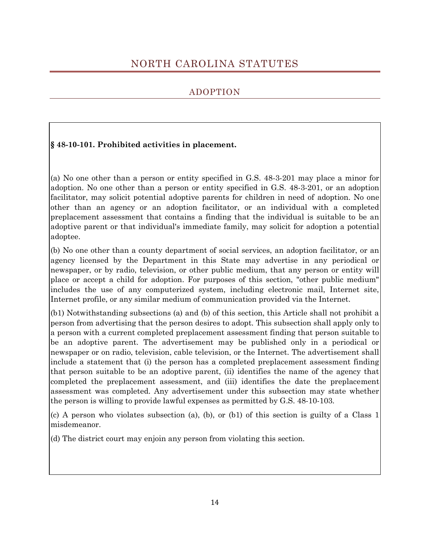# <span id="page-13-0"></span>NORTH CAROLINA STATUTES

# ADOPTION

# <span id="page-13-1"></span>**§ 48-10-101. Prohibited activities in placement.**

(a) No one other than a person or entity specified in G.S. 48-3-201 may place a minor for adoption. No one other than a person or entity specified in G.S. 48-3-201, or an adoption facilitator, may solicit potential adoptive parents for children in need of adoption. No one other than an agency or an adoption facilitator, or an individual with a completed preplacement assessment that contains a finding that the individual is suitable to be an adoptive parent or that individual's immediate family, may solicit for adoption a potential adoptee.

(b) No one other than a county department of social services, an adoption facilitator, or an agency licensed by the Department in this State may advertise in any periodical or newspaper, or by radio, television, or other public medium, that any person or entity will place or accept a child for adoption. For purposes of this section, "other public medium" includes the use of any computerized system, including electronic mail, Internet site, Internet profile, or any similar medium of communication provided via the Internet.

(b1) Notwithstanding subsections (a) and (b) of this section, this Article shall not prohibit a person from advertising that the person desires to adopt. This subsection shall apply only to a person with a current completed preplacement assessment finding that person suitable to be an adoptive parent. The advertisement may be published only in a periodical or newspaper or on radio, television, cable television, or the Internet. The advertisement shall include a statement that (i) the person has a completed preplacement assessment finding that person suitable to be an adoptive parent, (ii) identifies the name of the agency that completed the preplacement assessment, and (iii) identifies the date the preplacement assessment was completed. Any advertisement under this subsection may state whether the person is willing to provide lawful expenses as permitted by G.S. 48-10-103.

(c) A person who violates subsection (a), (b), or (b1) of this section is guilty of a Class 1 misdemeanor.

(d) The district court may enjoin any person from violating this section.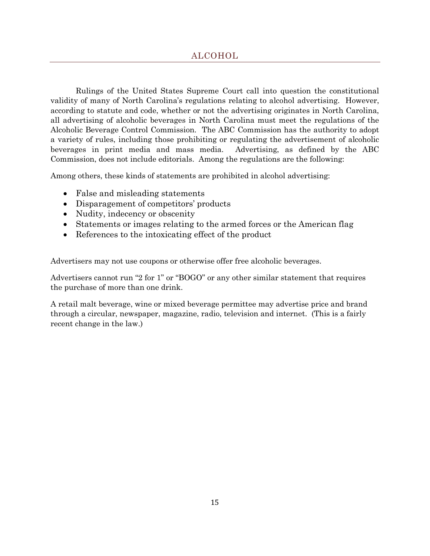<span id="page-14-0"></span>Rulings of the United States Supreme Court call into question the constitutional validity of many of North Carolina's regulations relating to alcohol advertising. However, according to statute and code, whether or not the advertising originates in North Carolina, all advertising of alcoholic beverages in North Carolina must meet the regulations of the Alcoholic Beverage Control Commission. The ABC Commission has the authority to adopt a variety of rules, including those prohibiting or regulating the advertisement of alcoholic beverages in print media and mass media. Advertising, as defined by the ABC Commission, does not include editorials. Among the regulations are the following:

Among others, these kinds of statements are prohibited in alcohol advertising:

- False and misleading statements
- Disparagement of competitors' products
- Nudity, indecency or obscenity
- Statements or images relating to the armed forces or the American flag
- References to the intoxicating effect of the product

Advertisers may not use coupons or otherwise offer free alcoholic beverages.

Advertisers cannot run "2 for 1" or "BOGO" or any other similar statement that requires the purchase of more than one drink.

A retail malt beverage, wine or mixed beverage permittee may advertise price and brand through a circular, newspaper, magazine, radio, television and internet. (This is a fairly recent change in the law.)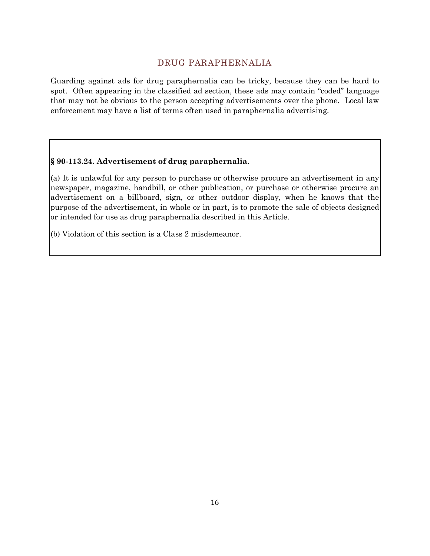# DRUG PARAPHERNALIA

<span id="page-15-0"></span>Guarding against ads for drug paraphernalia can be tricky, because they can be hard to spot. Often appearing in the classified ad section, these ads may contain "coded" language that may not be obvious to the person accepting advertisements over the phone. Local law enforcement may have a list of terms often used in paraphernalia advertising.

# **§ 90-113.24. Advertisement of drug paraphernalia.**

(a) It is unlawful for any person to purchase or otherwise procure an advertisement in any newspaper, magazine, handbill, or other publication, or purchase or otherwise procure an advertisement on a billboard, sign, or other outdoor display, when he knows that the purpose of the advertisement, in whole or in part, is to promote the sale of objects designed or intended for use as drug paraphernalia described in this Article.

(b) Violation of this section is a Class 2 misdemeanor.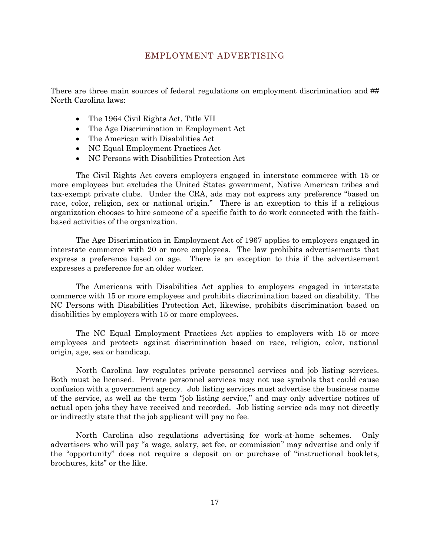<span id="page-16-0"></span>There are three main sources of federal regulations on employment discrimination and ## North Carolina laws:

- The 1964 Civil Rights Act, Title VII
- The Age Discrimination in Employment Act
- The American with Disabilities Act
- NC Equal Employment Practices Act
- NC Persons with Disabilities Protection Act

The Civil Rights Act covers employers engaged in interstate commerce with 15 or more employees but excludes the United States government, Native American tribes and tax-exempt private clubs. Under the CRA, ads may not express any preference "based on race, color, religion, sex or national origin." There is an exception to this if a religious organization chooses to hire someone of a specific faith to do work connected with the faithbased activities of the organization.

The Age Discrimination in Employment Act of 1967 applies to employers engaged in interstate commerce with 20 or more employees. The law prohibits advertisements that express a preference based on age. There is an exception to this if the advertisement expresses a preference for an older worker.

The Americans with Disabilities Act applies to employers engaged in interstate commerce with 15 or more employees and prohibits discrimination based on disability. The NC Persons with Disabilities Protection Act, likewise, prohibits discrimination based on disabilities by employers with 15 or more employees.

The NC Equal Employment Practices Act applies to employers with 15 or more employees and protects against discrimination based on race, religion, color, national origin, age, sex or handicap.

North Carolina law regulates private personnel services and job listing services. Both must be licensed. Private personnel services may not use symbols that could cause confusion with a government agency. Job listing services must advertise the business name of the service, as well as the term "job listing service," and may only advertise notices of actual open jobs they have received and recorded. Job listing service ads may not directly or indirectly state that the job applicant will pay no fee.

North Carolina also regulations advertising for work-at-home schemes. Only advertisers who will pay "a wage, salary, set fee, or commission" may advertise and only if the "opportunity" does not require a deposit on or purchase of "instructional booklets, brochures, kits" or the like.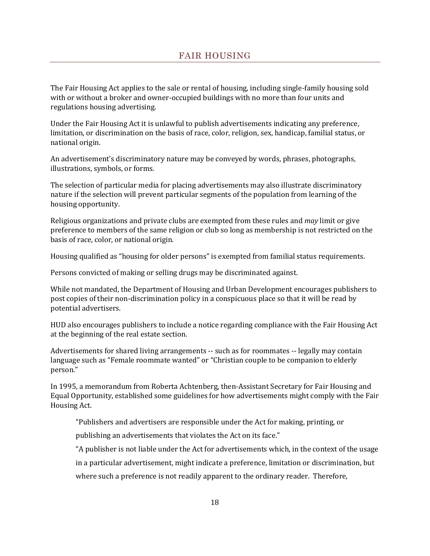<span id="page-17-0"></span>The Fair Housing Act applies to the sale or rental of housing, including single-family housing sold with or without a broker and owner-occupied buildings with no more than four units and regulations housing advertising.

Under the Fair Housing Act it is unlawful to publish advertisements indicating any preference, limitation, or discrimination on the basis of race, color, religion, sex, handicap, familial status, or national origin.

An advertisement's discriminatory nature may be conveyed by words, phrases, photographs, illustrations, symbols, or forms.

The selection of particular media for placing advertisements may also illustrate discriminatory nature if the selection will prevent particular segments of the population from learning of the housing opportunity.

Religious organizations and private clubs are exempted from these rules and *may* limit or give preference to members of the same religion or club so long as membership is not restricted on the basis of race, color, or national origin.

Housing qualified as "housing for older persons" is exempted from familial status requirements.

Persons convicted of making or selling drugs may be discriminated against.

While not mandated, the Department of Housing and Urban Development encourages publishers to post copies of their non-discrimination policy in a conspicuous place so that it will be read by potential advertisers.

HUD also encourages publishers to include a notice regarding compliance with the Fair Housing Act at the beginning of the real estate section.

Advertisements for shared living arrangements -- such as for roommates -- legally may contain language such as "Female roommate wanted" or "Christian couple to be companion to elderly person."

In 1995, a memorandum from Roberta Achtenberg, then-Assistant Secretary for Fair Housing and Equal Opportunity, established some guidelines for how advertisements might comply with the Fair Housing Act.

"Publishers and advertisers are responsible under the Act for making, printing, or

publishing an advertisements that violates the Act on its face."

"A publisher is not liable under the Act for advertisements which, in the context of the usage

in a particular advertisement, might indicate a preference, limitation or discrimination, but where such a preference is not readily apparent to the ordinary reader. Therefore,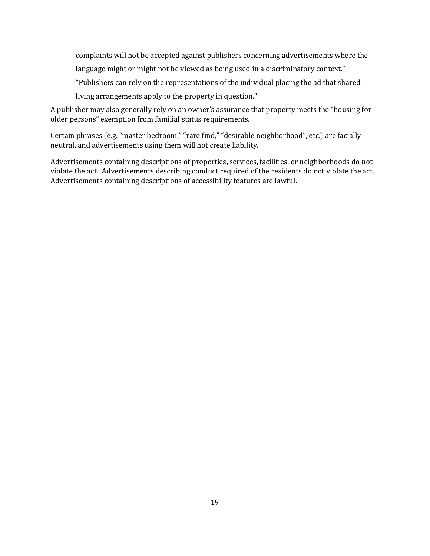complaints will not be accepted against publishers concerning advertisements where the language might or might not be viewed as being used in a discriminatory context." "Publishers can rely on the representations of the individual placing the ad that shared

living arrangements apply to the property in question."

A publisher may also generally rely on an owner's assurance that property meets the "housing for older persons" exemption from familial status requirements.

Certain phrases (e.g. "master bedroom," "rare find," "desirable neighborhood", etc.) are facially neutral, and advertisements using them will not create liability.

Advertisements containing descriptions of properties, services, facilities, or neighborhoods do not violate the act. Advertisements describing conduct required of the residents do not violate the act. Advertisements containing descriptions of accessibility features are lawful.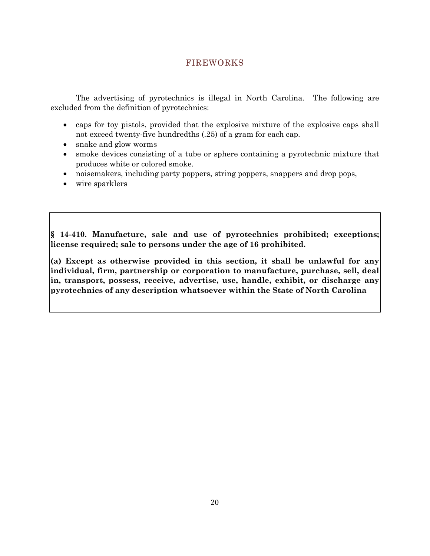<span id="page-19-0"></span>The advertising of pyrotechnics is illegal in North Carolina. The following are excluded from the definition of pyrotechnics:

- caps for toy pistols, provided that the explosive mixture of the explosive caps shall not exceed twenty-five hundredths (.25) of a gram for each cap.
- snake and glow worms
- smoke devices consisting of a tube or sphere containing a pyrotechnic mixture that produces white or colored smoke.
- noisemakers, including party poppers, string poppers, snappers and drop pops,
- wire sparklers

**§ 14-410. Manufacture, sale and use of pyrotechnics prohibited; exceptions; license required; sale to persons under the age of 16 prohibited.**

**(a) Except as otherwise provided in this section, it shall be unlawful for any individual, firm, partnership or corporation to manufacture, purchase, sell, deal in, transport, possess, receive, advertise, use, handle, exhibit, or discharge any pyrotechnics of any description whatsoever within the State of North Carolina**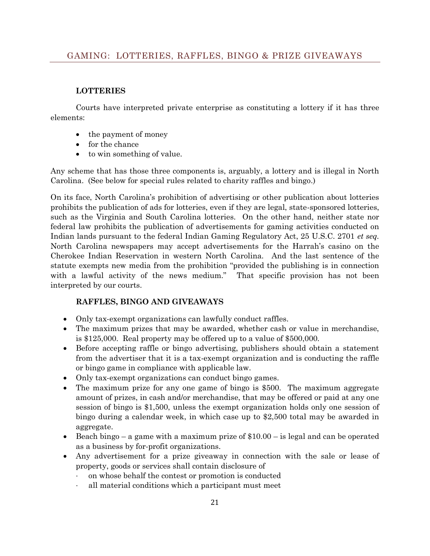## <span id="page-20-0"></span>**LOTTERIES**

Courts have interpreted private enterprise as constituting a lottery if it has three elements:

- the payment of money
- for the chance
- to win something of value.

Any scheme that has those three components is, arguably, a lottery and is illegal in North Carolina. (See below for special rules related to charity raffles and bingo.)

On its face, North Carolina's prohibition of advertising or other publication about lotteries prohibits the publication of ads for lotteries, even if they are legal, state-sponsored lotteries, such as the Virginia and South Carolina lotteries. On the other hand, neither state nor federal law prohibits the publication of advertisements for gaming activities conducted on Indian lands pursuant to the federal Indian Gaming Regulatory Act, 25 U.S.C. 2701 *et seq.* North Carolina newspapers may accept advertisements for the Harrah's casino on the Cherokee Indian Reservation in western North Carolina. And the last sentence of the statute exempts new media from the prohibition "provided the publishing is in connection with a lawful activity of the news medium." That specific provision has not been interpreted by our courts.

# **RAFFLES, BINGO AND GIVEAWAYS**

- Only tax-exempt organizations can lawfully conduct raffles.
- The maximum prizes that may be awarded, whether cash or value in merchandise, is \$125,000. Real property may be offered up to a value of \$500,000.
- Before accepting raffle or bingo advertising, publishers should obtain a statement from the advertiser that it is a tax-exempt organization and is conducting the raffle or bingo game in compliance with applicable law.
- Only tax-exempt organizations can conduct bingo games.
- The maximum prize for any one game of bingo is \$500. The maximum aggregate amount of prizes, in cash and/or merchandise, that may be offered or paid at any one session of bingo is \$1,500, unless the exempt organization holds only one session of bingo during a calendar week, in which case up to \$2,500 total may be awarded in aggregate.
- Beach bingo a game with a maximum prize of  $$10.00 is$  legal and can be operated as a business by for-profit organizations.
- Any advertisement for a prize giveaway in connection with the sale or lease of property, goods or services shall contain disclosure of
	- · on whose behalf the contest or promotion is conducted
	- · all material conditions which a participant must meet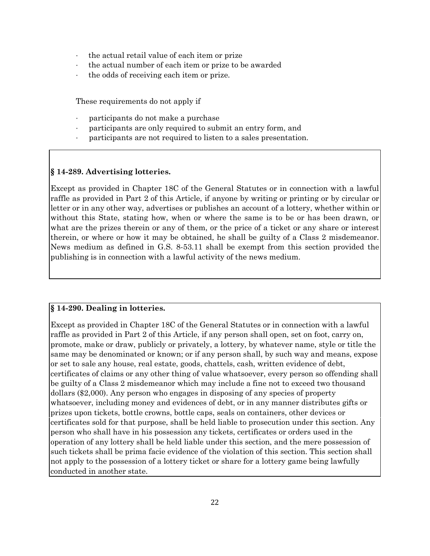- · the actual retail value of each item or prize
- the actual number of each item or prize to be awarded
- · the odds of receiving each item or prize.

These requirements do not apply if

- · participants do not make a purchase
- participants are only required to submit an entry form, and
- · participants are not required to listen to a sales presentation.

## **§ 14-289. Advertising lotteries.**

Except as provided in Chapter 18C of the General Statutes or in connection with a lawful raffle as provided in Part 2 of this Article, if anyone by writing or printing or by circular or letter or in any other way, advertises or publishes an account of a lottery, whether within or without this State, stating how, when or where the same is to be or has been drawn, or what are the prizes therein or any of them, or the price of a ticket or any share or interest therein, or where or how it may be obtained, he shall be guilty of a Class 2 misdemeanor. News medium as defined in G.S. 8-53.11 shall be exempt from this section provided the publishing is in connection with a lawful activity of the news medium.

### **§ 14-290. Dealing in lotteries.**

Except as provided in Chapter 18C of the General Statutes or in connection with a lawful raffle as provided in Part 2 of this Article, if any person shall open, set on foot, carry on, promote, make or draw, publicly or privately, a lottery, by whatever name, style or title the same may be denominated or known; or if any person shall, by such way and means, expose or set to sale any house, real estate, goods, chattels, cash, written evidence of debt, certificates of claims or any other thing of value whatsoever, every person so offending shall be guilty of a Class 2 misdemeanor which may include a fine not to exceed two thousand dollars (\$2,000). Any person who engages in disposing of any species of property whatsoever, including money and evidences of debt, or in any manner distributes gifts or prizes upon tickets, bottle crowns, bottle caps, seals on containers, other devices or certificates sold for that purpose, shall be held liable to prosecution under this section. Any person who shall have in his possession any tickets, certificates or orders used in the operation of any lottery shall be held liable under this section, and the mere possession of such tickets shall be prima facie evidence of the violation of this section. This section shall not apply to the possession of a lottery ticket or share for a lottery game being lawfully conducted in another state.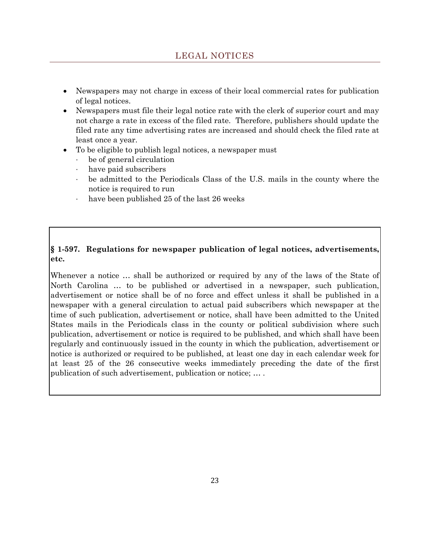- <span id="page-22-0"></span> Newspapers may not charge in excess of their local commercial rates for publication of legal notices.
- Newspapers must file their legal notice rate with the clerk of superior court and may not charge a rate in excess of the filed rate. Therefore, publishers should update the filed rate any time advertising rates are increased and should check the filed rate at least once a year.
- To be eligible to publish legal notices, a newspaper must
	- · be of general circulation
	- have paid subscribers
	- · be admitted to the Periodicals Class of the U.S. mails in the county where the notice is required to run
	- · have been published 25 of the last 26 weeks

# **§ 1-597. Regulations for newspaper publication of legal notices, advertisements, etc.**

Whenever a notice … shall be authorized or required by any of the laws of the State of North Carolina … to be published or advertised in a newspaper, such publication, advertisement or notice shall be of no force and effect unless it shall be published in a newspaper with a general circulation to actual paid subscribers which newspaper at the time of such publication, advertisement or notice, shall have been admitted to the United States mails in the Periodicals class in the county or political subdivision where such publication, advertisement or notice is required to be published, and which shall have been regularly and continuously issued in the county in which the publication, advertisement or notice is authorized or required to be published, at least one day in each calendar week for at least 25 of the 26 consecutive weeks immediately preceding the date of the first publication of such advertisement, publication or notice; … .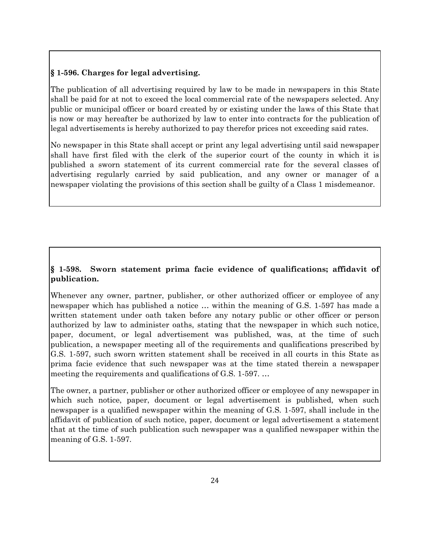## **§ 1-596. Charges for legal advertising.**

The publication of all advertising required by law to be made in newspapers in this State shall be paid for at not to exceed the local commercial rate of the newspapers selected. Any public or municipal officer or board created by or existing under the laws of this State that is now or may hereafter be authorized by law to enter into contracts for the publication of legal advertisements is hereby authorized to pay therefor prices not exceeding said rates.

No newspaper in this State shall accept or print any legal advertising until said newspaper shall have first filed with the clerk of the superior court of the county in which it is published a sworn statement of its current commercial rate for the several classes of advertising regularly carried by said publication, and any owner or manager of a newspaper violating the provisions of this section shall be guilty of a Class 1 misdemeanor.

# **§ 1-598. Sworn statement prima facie evidence of qualifications; affidavit of publication.**

Whenever any owner, partner, publisher, or other authorized officer or employee of any newspaper which has published a notice … within the meaning of G.S. 1-597 has made a written statement under oath taken before any notary public or other officer or person authorized by law to administer oaths, stating that the newspaper in which such notice, paper, document, or legal advertisement was published, was, at the time of such publication, a newspaper meeting all of the requirements and qualifications prescribed by G.S. 1-597, such sworn written statement shall be received in all courts in this State as prima facie evidence that such newspaper was at the time stated therein a newspaper meeting the requirements and qualifications of G.S. 1-597. …

The owner, a partner, publisher or other authorized officer or employee of any newspaper in which such notice, paper, document or legal advertisement is published, when such newspaper is a qualified newspaper within the meaning of G.S. 1-597, shall include in the affidavit of publication of such notice, paper, document or legal advertisement a statement that at the time of such publication such newspaper was a qualified newspaper within the meaning of G.S. 1-597.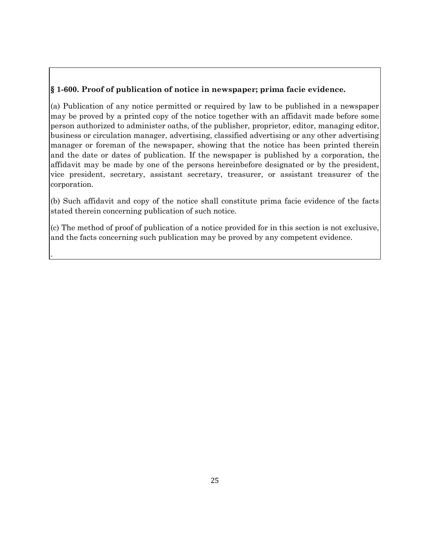# **§ 1-600. Proof of publication of notice in newspaper; prima facie evidence.**

(a) Publication of any notice permitted or required by law to be published in a newspaper may be proved by a printed copy of the notice together with an affidavit made before some person authorized to administer oaths, of the publisher, proprietor, editor, managing editor, business or circulation manager, advertising, classified advertising or any other advertising manager or foreman of the newspaper, showing that the notice has been printed therein and the date or dates of publication. If the newspaper is published by a corporation, the affidavit may be made by one of the persons hereinbefore designated or by the president, vice president, secretary, assistant secretary, treasurer, or assistant treasurer of the corporation.

(b) Such affidavit and copy of the notice shall constitute prima facie evidence of the facts stated therein concerning publication of such notice.

(c) The method of proof of publication of a notice provided for in this section is not exclusive, and the facts concerning such publication may be proved by any competent evidence.

.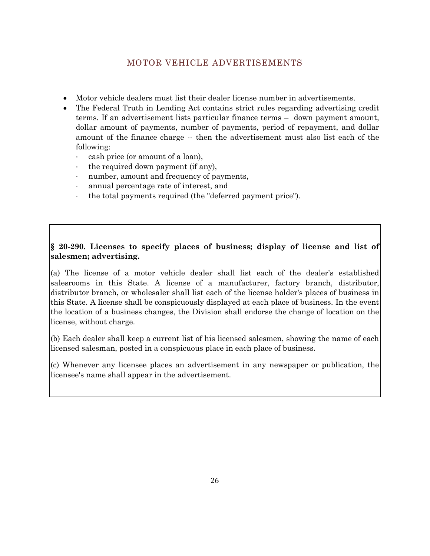- <span id="page-25-0"></span>Motor vehicle dealers must list their dealer license number in advertisements.
- The Federal Truth in Lending Act contains strict rules regarding advertising credit terms. If an advertisement lists particular finance terms – down payment amount, dollar amount of payments, number of payments, period of repayment, and dollar amount of the finance charge -- then the advertisement must also list each of the following:
	- · cash price (or amount of a loan),
	- · the required down payment (if any),
	- · number, amount and frequency of payments,
	- · annual percentage rate of interest, and
	- · the total payments required (the "deferred payment price").

# **§ 20-290. Licenses to specify places of business; display of license and list of salesmen; advertising.**

(a) The license of a motor vehicle dealer shall list each of the dealer's established salesrooms in this State. A license of a manufacturer, factory branch, distributor, distributor branch, or wholesaler shall list each of the license holder's places of business in this State. A license shall be conspicuously displayed at each place of business. In the event the location of a business changes, the Division shall endorse the change of location on the license, without charge.

(b) Each dealer shall keep a current list of his licensed salesmen, showing the name of each licensed salesman, posted in a conspicuous place in each place of business.

(c) Whenever any licensee places an advertisement in any newspaper or publication, the licensee's name shall appear in the advertisement.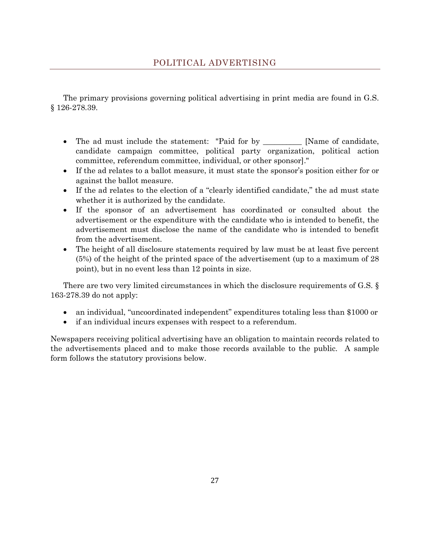<span id="page-26-0"></span>The primary provisions governing political advertising in print media are found in G.S. § 126-278.39.

- The ad must include the statement: "Paid for by \_\_\_\_\_\_\_\_\_ [Name of candidate, candidate campaign committee, political party organization, political action committee, referendum committee, individual, or other sponsor]."
- If the ad relates to a ballot measure, it must state the sponsor's position either for or against the ballot measure.
- If the ad relates to the election of a "clearly identified candidate," the ad must state whether it is authorized by the candidate.
- If the sponsor of an advertisement has coordinated or consulted about the advertisement or the expenditure with the candidate who is intended to benefit, the advertisement must disclose the name of the candidate who is intended to benefit from the advertisement.
- The height of all disclosure statements required by law must be at least five percent (5%) of the height of the printed space of the advertisement (up to a maximum of 28 point), but in no event less than 12 points in size.

There are two very limited circumstances in which the disclosure requirements of G.S. § 163-278.39 do not apply:

- an individual, "uncoordinated independent" expenditures totaling less than \$1000 or
- if an individual incurs expenses with respect to a referendum.

Newspapers receiving political advertising have an obligation to maintain records related to the advertisements placed and to make those records available to the public. A sample form follows the statutory provisions below.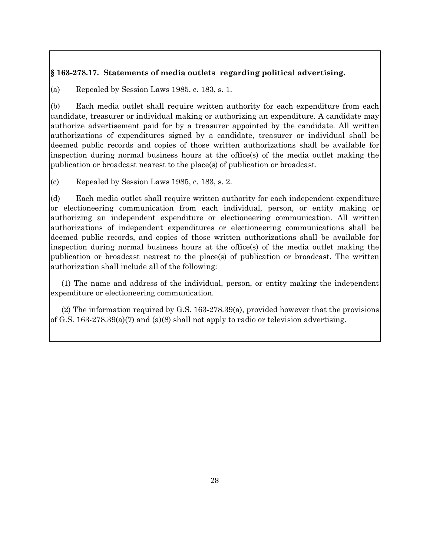## **§ 163-278.17. Statements of media outlets regarding political advertising.**

(a) Repealed by Session Laws 1985, c. 183, s. 1.

(b) Each media outlet shall require written authority for each expenditure from each candidate, treasurer or individual making or authorizing an expenditure. A candidate may authorize advertisement paid for by a treasurer appointed by the candidate. All written authorizations of expenditures signed by a candidate, treasurer or individual shall be deemed public records and copies of those written authorizations shall be available for inspection during normal business hours at the office(s) of the media outlet making the publication or broadcast nearest to the place(s) of publication or broadcast.

(c) Repealed by Session Laws 1985, c. 183, s. 2.

(d) Each media outlet shall require written authority for each independent expenditure or electioneering communication from each individual, person, or entity making or authorizing an independent expenditure or electioneering communication. All written authorizations of independent expenditures or electioneering communications shall be deemed public records, and copies of those written authorizations shall be available for inspection during normal business hours at the office(s) of the media outlet making the publication or broadcast nearest to the place(s) of publication or broadcast. The written authorization shall include all of the following:

 (1) The name and address of the individual, person, or entity making the independent expenditure or electioneering communication.

 (2) The information required by G.S. 163-278.39(a), provided however that the provisions of G.S. 163-278.39(a)(7) and (a)(8) shall not apply to radio or television advertising.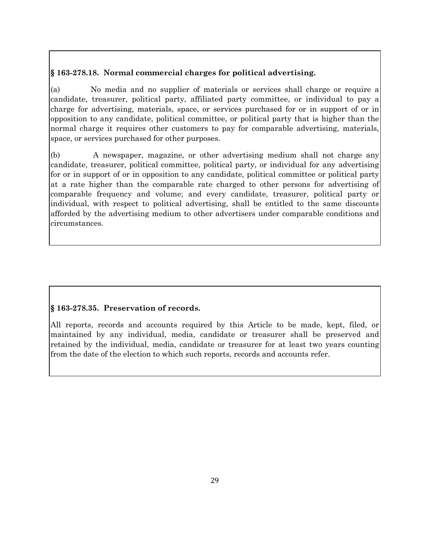# **§ 163-278.18. Normal commercial charges for political advertising.**

(a) No media and no supplier of materials or services shall charge or require a candidate, treasurer, political party, affiliated party committee, or individual to pay a charge for advertising, materials, space, or services purchased for or in support of or in opposition to any candidate, political committee, or political party that is higher than the normal charge it requires other customers to pay for comparable advertising, materials, space, or services purchased for other purposes.

(b) A newspaper, magazine, or other advertising medium shall not charge any candidate, treasurer, political committee, political party, or individual for any advertising for or in support of or in opposition to any candidate, political committee or political party at a rate higher than the comparable rate charged to other persons for advertising of comparable frequency and volume; and every candidate, treasurer, political party or individual, with respect to political advertising, shall be entitled to the same discounts afforded by the advertising medium to other advertisers under comparable conditions and circumstances.

# **§ 163-278.35. Preservation of records.**

All reports, records and accounts required by this Article to be made, kept, filed, or maintained by any individual, media, candidate or treasurer shall be preserved and retained by the individual, media, candidate or treasurer for at least two years counting from the date of the election to which such reports, records and accounts refer.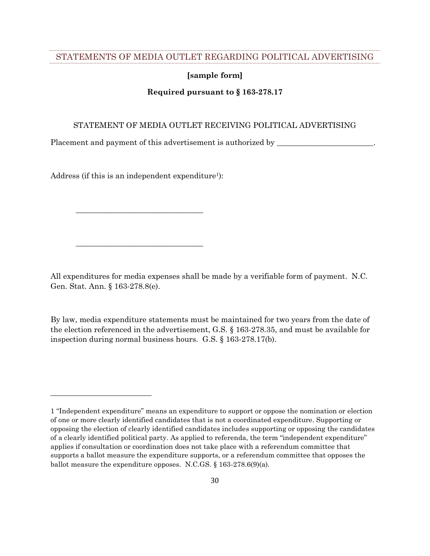#### <span id="page-29-0"></span>STATEMENTS OF MEDIA OUTLET REGARDING POLITICAL ADVERTISING

#### **[sample form]**

#### **Required pursuant to § 163-278.17**

#### STATEMENT OF MEDIA OUTLET RECEIVING POLITICAL ADVERTISING

Placement and payment of this advertisement is authorized by \_\_\_\_\_\_\_\_\_\_\_\_\_\_\_\_\_\_\_\_

Address (if this is an independent expenditure<sup>1</sup>):

\_\_\_\_\_\_\_\_\_\_\_\_\_\_\_\_\_\_\_\_\_\_\_\_\_\_\_\_\_\_\_\_\_

\_\_\_\_\_\_\_\_\_\_\_\_\_\_\_\_\_\_\_\_\_\_\_\_\_\_\_\_\_\_\_\_\_

l

All expenditures for media expenses shall be made by a verifiable form of payment. N.C. Gen. Stat. Ann. § 163-278.8(e).

By law, media expenditure statements must be maintained for two years from the date of the election referenced in the advertisement, G.S. § 163-278.35, and must be available for inspection during normal business hours. G.S. § 163-278.17(b).

<sup>1</sup> "Independent expenditure" means an expenditure to support or oppose the nomination or election of one or more clearly identified candidates that is not a coordinated expenditure. Supporting or opposing the election of clearly identified candidates includes supporting or opposing the candidates of a clearly identified political party. As applied to referenda, the term "independent expenditure" applies if consultation or coordination does not take place with a referendum committee that supports a ballot measure the expenditure supports, or a referendum committee that opposes the ballot measure the expenditure opposes. N.C.GS. § 163-278.6(9)(a).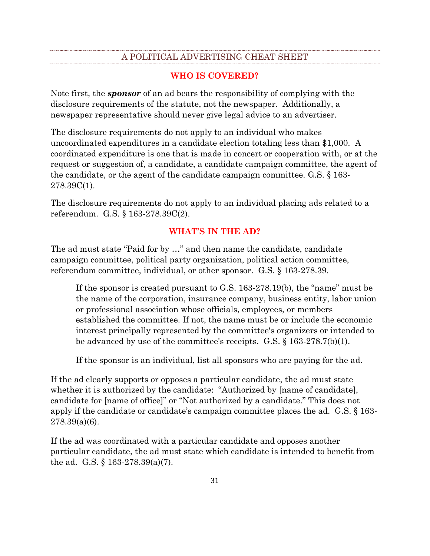# A POLITICAL ADVERTISING CHEAT SHEET

## **WHO IS COVERED?**

<span id="page-30-0"></span>Note first, the *sponsor* of an ad bears the responsibility of complying with the disclosure requirements of the statute, not the newspaper. Additionally, a newspaper representative should never give legal advice to an advertiser.

The disclosure requirements do not apply to an individual who makes uncoordinated expenditures in a candidate election totaling less than \$1,000. A coordinated expenditure is one that is made in concert or cooperation with, or at the request or suggestion of, a candidate, a candidate campaign committee, the agent of the candidate, or the agent of the candidate campaign committee. G.S. § 163- 278.39C(1).

The disclosure requirements do not apply to an individual placing ads related to a referendum. G.S. § 163-278.39C(2).

## **WHAT'S IN THE AD?**

The ad must state "Paid for by …" and then name the candidate, candidate campaign committee, political party organization, political action committee, referendum committee, individual, or other sponsor. G.S. § 163-278.39.

If the sponsor is created pursuant to G.S. 163-278.19(b), the "name" must be the name of the corporation, insurance company, business entity, labor union or professional association whose officials, employees, or members established the committee. If not, the name must be or include the economic interest principally represented by the committee's organizers or intended to be advanced by use of the committee's receipts. G.S. § 163-278.7(b)(1).

If the sponsor is an individual, list all sponsors who are paying for the ad.

If the ad clearly supports or opposes a particular candidate, the ad must state whether it is authorized by the candidate: "Authorized by [name of candidate], candidate for [name of office]" or "Not authorized by a candidate." This does not apply if the candidate or candidate's campaign committee places the ad. G.S. § 163-  $278.39(a)(6)$ .

If the ad was coordinated with a particular candidate and opposes another particular candidate, the ad must state which candidate is intended to benefit from the ad. G.S. § 163-278.39(a)(7).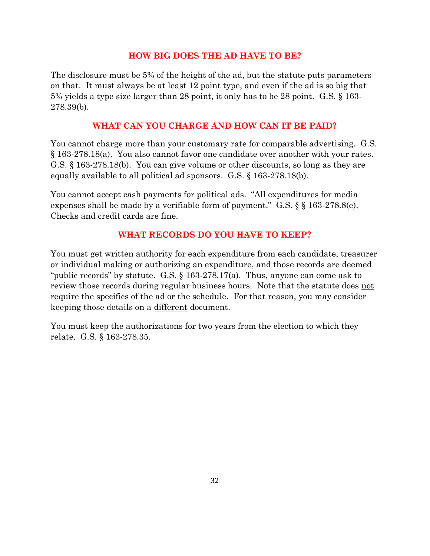# **HOW BIG DOES THE AD HAVE TO BE?**

The disclosure must be 5% of the height of the ad, but the statute puts parameters on that. It must always be at least 12 point type, and even if the ad is so big that 5% yields a type size larger than 28 point, it only has to be 28 point. G.S. § 163- 278.39(b).

# **WHAT CAN YOU CHARGE AND HOW CAN IT BE PAID?**

You cannot charge more than your customary rate for comparable advertising. G.S. § 163-278.18(a). You also cannot favor one candidate over another with your rates. G.S. § 163-278.18(b). You can give volume or other discounts, so long as they are equally available to all political ad sponsors. G.S. § 163-278.18(b).

You cannot accept cash payments for political ads. "All expenditures for media expenses shall be made by a verifiable form of payment." G.S. § § 163-278.8(e). Checks and credit cards are fine.

# **WHAT RECORDS DO YOU HAVE TO KEEP?**

You must get written authority for each expenditure from each candidate, treasurer or individual making or authorizing an expenditure, and those records are deemed "public records" by statute. G.S. § 163-278.17(a). Thus, anyone can come ask to review those records during regular business hours. Note that the statute does not require the specifics of the ad or the schedule. For that reason, you may consider keeping those details on a different document.

You must keep the authorizations for two years from the election to which they relate. G.S. § 163-278.35.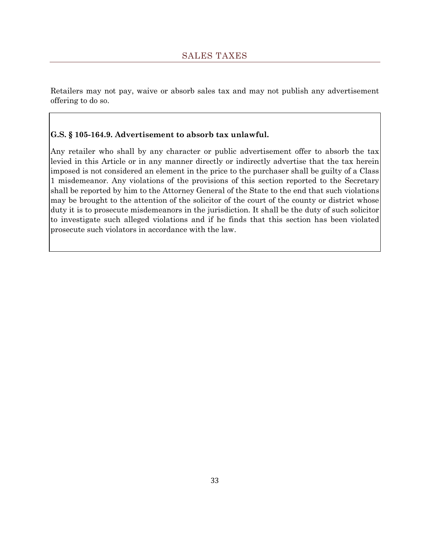<span id="page-32-0"></span>Retailers may not pay, waive or absorb sales tax and may not publish any advertisement offering to do so.

## **G.S. § 105-164.9. Advertisement to absorb tax unlawful.**

Any retailer who shall by any character or public advertisement offer to absorb the tax levied in this Article or in any manner directly or indirectly advertise that the tax herein imposed is not considered an element in the price to the purchaser shall be guilty of a Class 1 misdemeanor. Any violations of the provisions of this section reported to the Secretary shall be reported by him to the Attorney General of the State to the end that such violations may be brought to the attention of the solicitor of the court of the county or district whose duty it is to prosecute misdemeanors in the jurisdiction. It shall be the duty of such solicitor to investigate such alleged violations and if he finds that this section has been violated prosecute such violators in accordance with the law.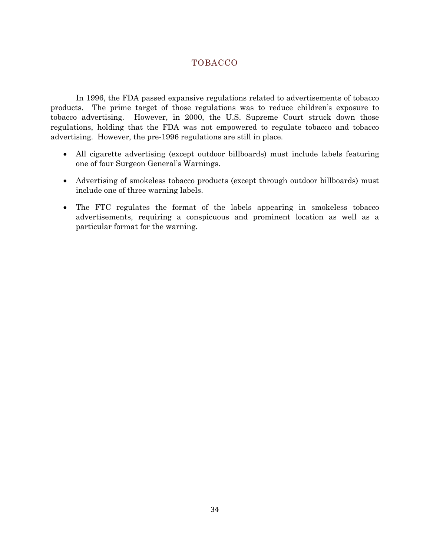<span id="page-33-0"></span>In 1996, the FDA passed expansive regulations related to advertisements of tobacco products. The prime target of those regulations was to reduce children's exposure to tobacco advertising. However, in 2000, the U.S. Supreme Court struck down those regulations, holding that the FDA was not empowered to regulate tobacco and tobacco advertising. However, the pre-1996 regulations are still in place.

- All cigarette advertising (except outdoor billboards) must include labels featuring one of four Surgeon General's Warnings.
- Advertising of smokeless tobacco products (except through outdoor billboards) must include one of three warning labels.
- The FTC regulates the format of the labels appearing in smokeless tobacco advertisements, requiring a conspicuous and prominent location as well as a particular format for the warning.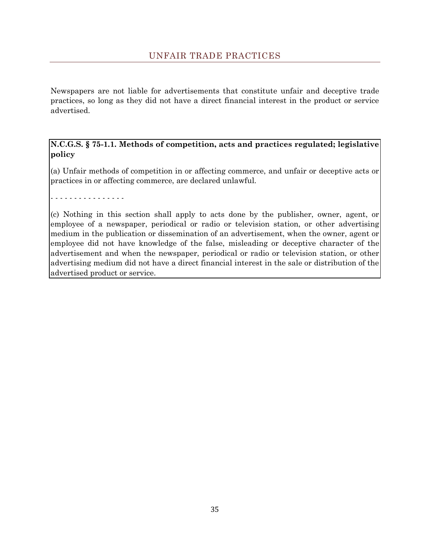<span id="page-34-0"></span>Newspapers are not liable for advertisements that constitute unfair and deceptive trade practices, so long as they did not have a direct financial interest in the product or service advertised.

**N.C.G.S. § 75-1.1. Methods of competition, acts and practices regulated; legislative policy**

(a) Unfair methods of competition in or affecting commerce, and unfair or deceptive acts or practices in or affecting commerce, are declared unlawful.

- - - - - - - - - - - - - - - -

(c) Nothing in this section shall apply to acts done by the publisher, owner, agent, or employee of a newspaper, periodical or radio or television station, or other advertising medium in the publication or dissemination of an advertisement, when the owner, agent or employee did not have knowledge of the false, misleading or deceptive character of the advertisement and when the newspaper, periodical or radio or television station, or other advertising medium did not have a direct financial interest in the sale or distribution of the advertised product or service.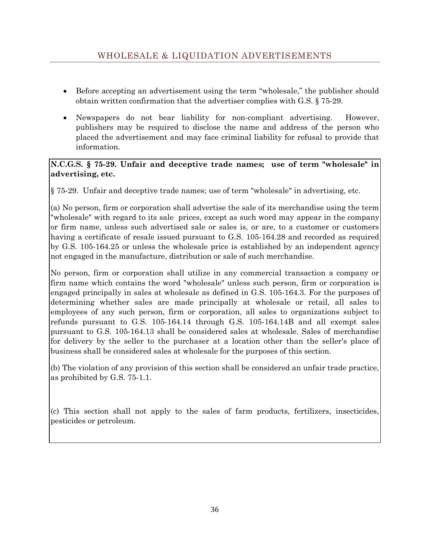- <span id="page-35-0"></span> Before accepting an advertisement using the term "wholesale," the publisher should obtain written confirmation that the advertiser complies with G.S. § 75-29.
- Newspapers do not bear liability for non-compliant advertising. However, publishers may be required to disclose the name and address of the person who placed the advertisement and may face criminal liability for refusal to provide that information.

# **N.C.G.S. § 75-29. Unfair and deceptive trade names; use of term "wholesale" in advertising, etc.**

§ 75-29. Unfair and deceptive trade names; use of term "wholesale" in advertising, etc.

(a) No person, firm or corporation shall advertise the sale of its merchandise using the term "wholesale" with regard to its sale prices, except as such word may appear in the company or firm name, unless such advertised sale or sales is, or are, to a customer or customers having a certificate of resale issued pursuant to G.S. 105-164.28 and recorded as required by G.S. 105-164.25 or unless the wholesale price is established by an independent agency not engaged in the manufacture, distribution or sale of such merchandise.

No person, firm or corporation shall utilize in any commercial transaction a company or firm name which contains the word "wholesale" unless such person, firm or corporation is engaged principally in sales at wholesale as defined in G.S. 105-164.3. For the purposes of determining whether sales are made principally at wholesale or retail, all sales to employees of any such person, firm or corporation, all sales to organizations subject to refunds pursuant to G.S. 105-164.14 through G.S. 105-164.14B and all exempt sales pursuant to G.S. 105-164.13 shall be considered sales at wholesale. Sales of merchandise for delivery by the seller to the purchaser at a location other than the seller's place of business shall be considered sales at wholesale for the purposes of this section.

(b) The violation of any provision of this section shall be considered an unfair trade practice, as prohibited by G.S. 75-1.1.

(c) This section shall not apply to the sales of farm products, fertilizers, insecticides, pesticides or petroleum.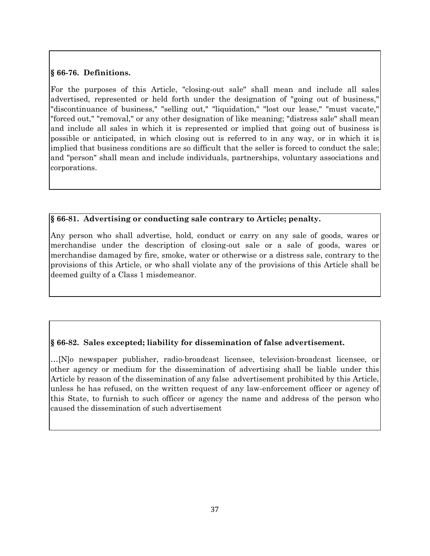## **§ 66-76. Definitions.**

For the purposes of this Article, "closing-out sale" shall mean and include all sales advertised, represented or held forth under the designation of "going out of business," "discontinuance of business," "selling out," "liquidation," "lost our lease," "must vacate," "forced out," "removal," or any other designation of like meaning; "distress sale" shall mean and include all sales in which it is represented or implied that going out of business is possible or anticipated, in which closing out is referred to in any way, or in which it is implied that business conditions are so difficult that the seller is forced to conduct the sale; and "person" shall mean and include individuals, partnerships, voluntary associations and corporations.

## **§ 66-81. Advertising or conducting sale contrary to Article; penalty.**

Any person who shall advertise, hold, conduct or carry on any sale of goods, wares or merchandise under the description of closing-out sale or a sale of goods, wares or merchandise damaged by fire, smoke, water or otherwise or a distress sale, contrary to the provisions of this Article, or who shall violate any of the provisions of this Article shall be deemed guilty of a Class 1 misdemeanor.

# **§ 66-82. Sales excepted; liability for dissemination of false advertisement.**

…[N]o newspaper publisher, radio-broadcast licensee, television-broadcast licensee, or other agency or medium for the dissemination of advertising shall be liable under this Article by reason of the dissemination of any false advertisement prohibited by this Article, unless he has refused, on the written request of any law-enforcement officer or agency of this State, to furnish to such officer or agency the name and address of the person who caused the dissemination of such advertisement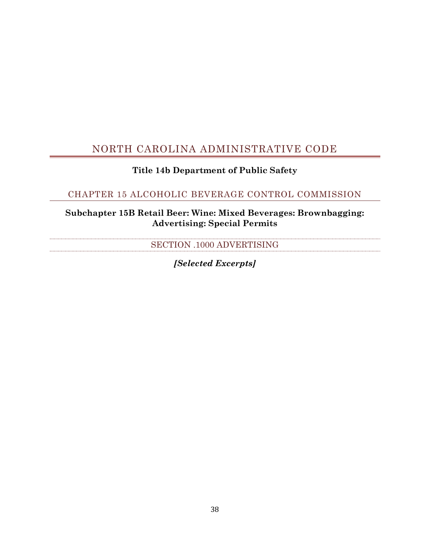# <span id="page-37-0"></span>NORTH CAROLINA ADMINISTRATIVE CODE

# **Title 14b Department of Public Safety**

# <span id="page-37-1"></span>CHAPTER 15 ALCOHOLIC BEVERAGE CONTROL COMMISSION

# <span id="page-37-2"></span>**Subchapter 15B Retail Beer: Wine: Mixed Beverages: Brownbagging: Advertising: Special Permits**

SECTION .1000 ADVERTISING

*[Selected Excerpts]*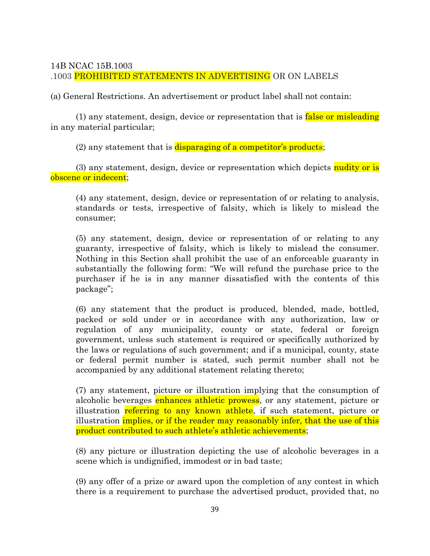## 14B NCAC 15B.1003

## .1003 PROHIBITED STATEMENTS IN ADVERTISING OR ON LABELS

(a) General Restrictions. An advertisement or product label shall not contain:

(1) any statement, design, device or representation that is **false or misleading** in any material particular;

(2) any statement that is disparaging of a competitor's products;

(3) any statement, design, device or representation which depicts nudity or is obscene or indecent;

(4) any statement, design, device or representation of or relating to analysis, standards or tests, irrespective of falsity, which is likely to mislead the consumer;

(5) any statement, design, device or representation of or relating to any guaranty, irrespective of falsity, which is likely to mislead the consumer. Nothing in this Section shall prohibit the use of an enforceable guaranty in substantially the following form: "We will refund the purchase price to the purchaser if he is in any manner dissatisfied with the contents of this package";

(6) any statement that the product is produced, blended, made, bottled, packed or sold under or in accordance with any authorization, law or regulation of any municipality, county or state, federal or foreign government, unless such statement is required or specifically authorized by the laws or regulations of such government; and if a municipal, county, state or federal permit number is stated, such permit number shall not be accompanied by any additional statement relating thereto;

(7) any statement, picture or illustration implying that the consumption of alcoholic beverages enhances athletic prowess, or any statement, picture or illustration referring to any known athlete, if such statement, picture or illustration *implies, or if the reader may reasonably infer, that the use of this* product contributed to such athlete's athletic achievements;

(8) any picture or illustration depicting the use of alcoholic beverages in a scene which is undignified, immodest or in bad taste;

(9) any offer of a prize or award upon the completion of any contest in which there is a requirement to purchase the advertised product, provided that, no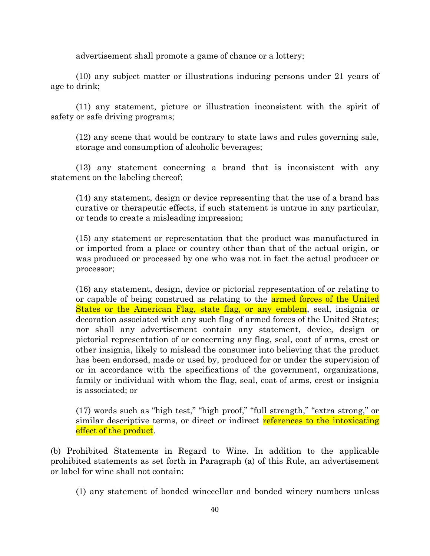advertisement shall promote a game of chance or a lottery;

(10) any subject matter or illustrations inducing persons under 21 years of age to drink;

(11) any statement, picture or illustration inconsistent with the spirit of safety or safe driving programs;

(12) any scene that would be contrary to state laws and rules governing sale, storage and consumption of alcoholic beverages;

(13) any statement concerning a brand that is inconsistent with any statement on the labeling thereof;

(14) any statement, design or device representing that the use of a brand has curative or therapeutic effects, if such statement is untrue in any particular, or tends to create a misleading impression;

(15) any statement or representation that the product was manufactured in or imported from a place or country other than that of the actual origin, or was produced or processed by one who was not in fact the actual producer or processor;

(16) any statement, design, device or pictorial representation of or relating to or capable of being construed as relating to the **armed forces of the United** States or the American Flag, state flag, or any emblem, seal, insignia or decoration associated with any such flag of armed forces of the United States; nor shall any advertisement contain any statement, device, design or pictorial representation of or concerning any flag, seal, coat of arms, crest or other insignia, likely to mislead the consumer into believing that the product has been endorsed, made or used by, produced for or under the supervision of or in accordance with the specifications of the government, organizations, family or individual with whom the flag, seal, coat of arms, crest or insignia is associated; or

(17) words such as "high test," "high proof," "full strength," "extra strong," or similar descriptive terms, or direct or indirect references to the intoxicating effect of the product.

(b) Prohibited Statements in Regard to Wine. In addition to the applicable prohibited statements as set forth in Paragraph (a) of this Rule, an advertisement or label for wine shall not contain:

(1) any statement of bonded winecellar and bonded winery numbers unless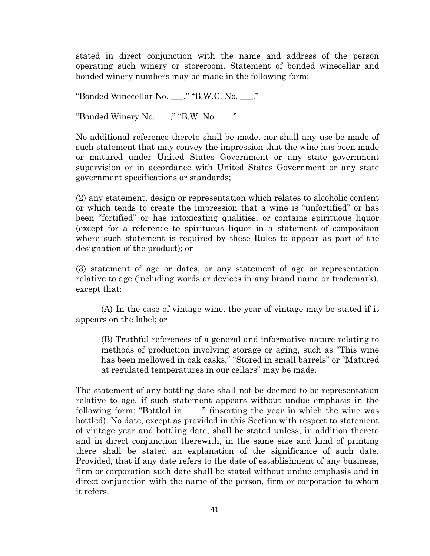stated in direct conjunction with the name and address of the person operating such winery or storeroom. Statement of bonded winecellar and bonded winery numbers may be made in the following form:

"Bonded Winecellar No. \_\_\_," "B.W.C. No. \_\_\_."

"Bonded Winery No. \_\_\_," "B.W. No. \_\_\_."

No additional reference thereto shall be made, nor shall any use be made of such statement that may convey the impression that the wine has been made or matured under United States Government or any state government supervision or in accordance with United States Government or any state government specifications or standards;

(2) any statement, design or representation which relates to alcoholic content or which tends to create the impression that a wine is "unfortified" or has been "fortified" or has intoxicating qualities, or contains spirituous liquor (except for a reference to spirituous liquor in a statement of composition where such statement is required by these Rules to appear as part of the designation of the product); or

(3) statement of age or dates, or any statement of age or representation relative to age (including words or devices in any brand name or trademark), except that:

(A) In the case of vintage wine, the year of vintage may be stated if it appears on the label; or

(B) Truthful references of a general and informative nature relating to methods of production involving storage or aging, such as "This wine has been mellowed in oak casks," "Stored in small barrels" or "Matured at regulated temperatures in our cellars" may be made.

The statement of any bottling date shall not be deemed to be representation relative to age, if such statement appears without undue emphasis in the following form: "Bottled in \_\_\_\_" (inserting the year in which the wine was bottled). No date, except as provided in this Section with respect to statement of vintage year and bottling date, shall be stated unless, in addition thereto and in direct conjunction therewith, in the same size and kind of printing there shall be stated an explanation of the significance of such date. Provided, that if any date refers to the date of establishment of any business, firm or corporation such date shall be stated without undue emphasis and in direct conjunction with the name of the person, firm or corporation to whom it refers.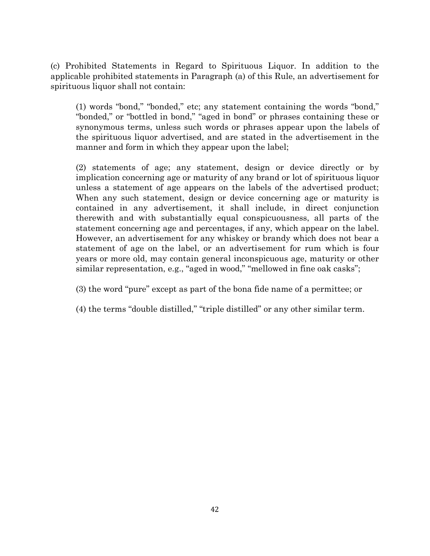(c) Prohibited Statements in Regard to Spirituous Liquor. In addition to the applicable prohibited statements in Paragraph (a) of this Rule, an advertisement for spirituous liquor shall not contain:

(1) words "bond," "bonded," etc; any statement containing the words "bond," "bonded," or "bottled in bond," "aged in bond" or phrases containing these or synonymous terms, unless such words or phrases appear upon the labels of the spirituous liquor advertised, and are stated in the advertisement in the manner and form in which they appear upon the label;

(2) statements of age; any statement, design or device directly or by implication concerning age or maturity of any brand or lot of spirituous liquor unless a statement of age appears on the labels of the advertised product; When any such statement, design or device concerning age or maturity is contained in any advertisement, it shall include, in direct conjunction therewith and with substantially equal conspicuousness, all parts of the statement concerning age and percentages, if any, which appear on the label. However, an advertisement for any whiskey or brandy which does not bear a statement of age on the label, or an advertisement for rum which is four years or more old, may contain general inconspicuous age, maturity or other similar representation, e.g., "aged in wood," "mellowed in fine oak casks";

- (3) the word "pure" except as part of the bona fide name of a permittee; or
- (4) the terms "double distilled," "triple distilled" or any other similar term.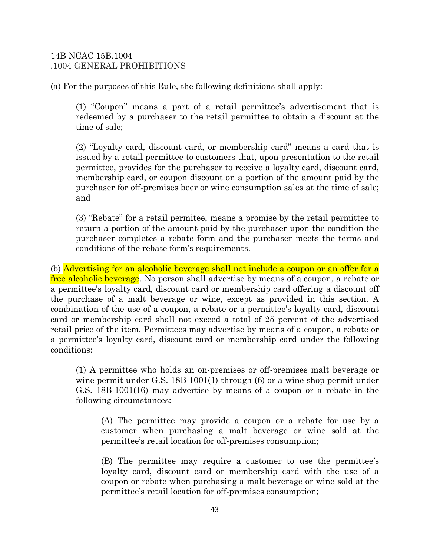## 14B NCAC 15B.1004 .1004 GENERAL PROHIBITIONS

(a) For the purposes of this Rule, the following definitions shall apply:

(1) "Coupon" means a part of a retail permittee's advertisement that is redeemed by a purchaser to the retail permittee to obtain a discount at the time of sale;

(2) "Loyalty card, discount card, or membership card" means a card that is issued by a retail permittee to customers that, upon presentation to the retail permittee, provides for the purchaser to receive a loyalty card, discount card, membership card, or coupon discount on a portion of the amount paid by the purchaser for off-premises beer or wine consumption sales at the time of sale; and

(3) "Rebate" for a retail permitee, means a promise by the retail permittee to return a portion of the amount paid by the purchaser upon the condition the purchaser completes a rebate form and the purchaser meets the terms and conditions of the rebate form's requirements.

(b) Advertising for an alcoholic beverage shall not include a coupon or an offer for a free alcoholic beverage. No person shall advertise by means of a coupon, a rebate or a permittee's loyalty card, discount card or membership card offering a discount off the purchase of a malt beverage or wine, except as provided in this section. A combination of the use of a coupon, a rebate or a permittee's loyalty card, discount card or membership card shall not exceed a total of 25 percent of the advertised retail price of the item. Permittees may advertise by means of a coupon, a rebate or a permittee's loyalty card, discount card or membership card under the following conditions:

(1) A permittee who holds an on-premises or off-premises malt beverage or wine permit under [G.S. 18B-1001\(1\)](http://www.westlaw.com/Link/Document/FullText?findType=L&pubNum=1000037&cite=NCSTS18B-1001&originatingDoc=NF5ED80B06C2911E5BB42A007075EA126&refType=SP&originationContext=document&vr=3.0&rs=cblt1.0&transitionType=DocumentItem&contextData=(sc.Default)#co_pp_f1c50000821b0) through [\(6\)](http://www.westlaw.com/Link/Document/FullText?findType=L&pubNum=1000037&cite=NCSTS18B-1001&originatingDoc=NF5ED80B06C2911E5BB42A007075EA126&refType=SP&originationContext=document&vr=3.0&rs=cblt1.0&transitionType=DocumentItem&contextData=(sc.Default)#co_pp_1e9a0000fd6a3) or a wine shop permit under [G.S. 18B-1001\(16\)](http://www.westlaw.com/Link/Document/FullText?findType=L&pubNum=1000037&cite=NCSTS18B-1001&originatingDoc=NF5ED80B06C2911E5BB42A007075EA126&refType=SP&originationContext=document&vr=3.0&rs=cblt1.0&transitionType=DocumentItem&contextData=(sc.Default)#co_pp_1cbd000075e87) may advertise by means of a coupon or a rebate in the following circumstances:

(A) The permittee may provide a coupon or a rebate for use by a customer when purchasing a malt beverage or wine sold at the permittee's retail location for off-premises consumption;

(B) The permittee may require a customer to use the permittee's loyalty card, discount card or membership card with the use of a coupon or rebate when purchasing a malt beverage or wine sold at the permittee's retail location for off-premises consumption;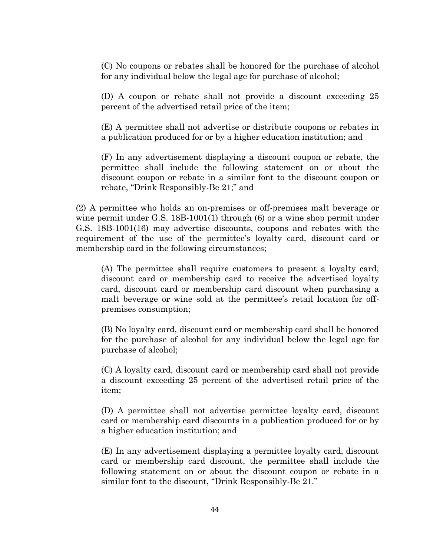(C) No coupons or rebates shall be honored for the purchase of alcohol for any individual below the legal age for purchase of alcohol;

(D) A coupon or rebate shall not provide a discount exceeding 25 percent of the advertised retail price of the item;

(E) A permittee shall not advertise or distribute coupons or rebates in a publication produced for or by a higher education institution; and

(F) In any advertisement displaying a discount coupon or rebate, the permittee shall include the following statement on or about the discount coupon or rebate in a similar font to the discount coupon or rebate, "Drink Responsibly-Be 21;" and

(2) A permittee who holds an on-premises or off-premises malt beverage or wine permit under [G.S. 18B-1001\(1\)](http://www.westlaw.com/Link/Document/FullText?findType=L&pubNum=1000037&cite=NCSTS18B-1001&originatingDoc=NF5ED80B06C2911E5BB42A007075EA126&refType=SP&originationContext=document&vr=3.0&rs=cblt1.0&transitionType=DocumentItem&contextData=(sc.Default)#co_pp_f1c50000821b0) through [\(6\)](http://www.westlaw.com/Link/Document/FullText?findType=L&pubNum=1000037&cite=NCSTS18B-1001&originatingDoc=NF5ED80B06C2911E5BB42A007075EA126&refType=SP&originationContext=document&vr=3.0&rs=cblt1.0&transitionType=DocumentItem&contextData=(sc.Default)#co_pp_1e9a0000fd6a3) or a wine shop permit under [G.S. 18B-1001\(16\)](http://www.westlaw.com/Link/Document/FullText?findType=L&pubNum=1000037&cite=NCSTS18B-1001&originatingDoc=NF5ED80B06C2911E5BB42A007075EA126&refType=SP&originationContext=document&vr=3.0&rs=cblt1.0&transitionType=DocumentItem&contextData=(sc.Default)#co_pp_1cbd000075e87) may advertise discounts, coupons and rebates with the requirement of the use of the permittee's loyalty card, discount card or membership card in the following circumstances;

(A) The permittee shall require customers to present a loyalty card, discount card or membership card to receive the advertised loyalty card, discount card or membership card discount when purchasing a malt beverage or wine sold at the permittee's retail location for offpremises consumption;

(B) No loyalty card, discount card or membership card shall be honored for the purchase of alcohol for any individual below the legal age for purchase of alcohol;

(C) A loyalty card, discount card or membership card shall not provide a discount exceeding 25 percent of the advertised retail price of the item;

(D) A permittee shall not advertise permittee loyalty card, discount card or membership card discounts in a publication produced for or by a higher education institution; and

(E) In any advertisement displaying a permittee loyalty card, discount card or membership card discount, the permittee shall include the following statement on or about the discount coupon or rebate in a similar font to the discount, "Drink Responsibly-Be 21."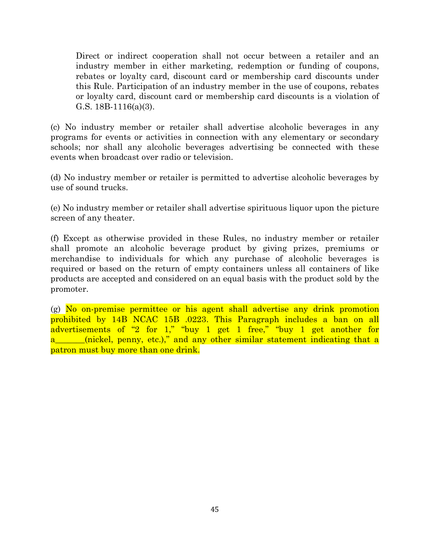Direct or indirect cooperation shall not occur between a retailer and an industry member in either marketing, redemption or funding of coupons, rebates or loyalty card, discount card or membership card discounts under this Rule. Participation of an industry member in the use of coupons, rebates or loyalty card, discount card or membership card discounts is a violation of [G.S. 18B-1116\(a\)\(3\).](http://www.westlaw.com/Link/Document/FullText?findType=L&pubNum=1000037&cite=NCSTS18B-1116&originatingDoc=NF5ED80B06C2911E5BB42A007075EA126&refType=SP&originationContext=document&vr=3.0&rs=cblt1.0&transitionType=DocumentItem&contextData=(sc.Default)#co_pp_28cc0000ccca6)

(c) No industry member or retailer shall advertise alcoholic beverages in any programs for events or activities in connection with any elementary or secondary schools; nor shall any alcoholic beverages advertising be connected with these events when broadcast over radio or television.

(d) No industry member or retailer is permitted to advertise alcoholic beverages by use of sound trucks.

(e) No industry member or retailer shall advertise spirituous liquor upon the picture screen of any theater.

(f) Except as otherwise provided in these Rules, no industry member or retailer shall promote an alcoholic beverage product by giving prizes, premiums or merchandise to individuals for which any purchase of alcoholic beverages is required or based on the return of empty containers unless all containers of like products are accepted and considered on an equal basis with the product sold by the promoter.

(g) No on-premise permittee or his agent shall advertise any drink promotion prohibited by [14B NCAC 15B .0223.](http://www.westlaw.com/Link/Document/FullText?findType=L&pubNum=1003805&cite=14BNCADC15B.0223&originatingDoc=NF5ED80B06C2911E5BB42A007075EA126&refType=VP&originationContext=document&vr=3.0&rs=cblt1.0&transitionType=DocumentItem&contextData=(sc.Default)) This Paragraph includes a ban on all advertisements of "2 for 1," "buy 1 get 1 free," "buy 1 get another for a\_\_\_\_\_(nickel, penny, etc.)," and any other similar statement indicating that a patron must buy more than one drink.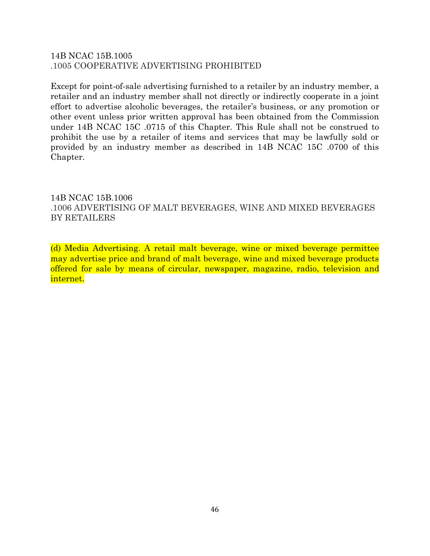# 14B NCAC 15B.1005 .1005 COOPERATIVE ADVERTISING PROHIBITED

Except for point-of-sale advertising furnished to a retailer by an industry member, a retailer and an industry member shall not directly or indirectly cooperate in a joint effort to advertise alcoholic beverages, the retailer's business, or any promotion or other event unless prior written approval has been obtained from the Commission under [14B NCAC 15C .0715](http://www.westlaw.com/Link/Document/FullText?findType=L&pubNum=1003805&cite=14BNCADC15C.0715&originatingDoc=N0065DC906C2A11E5A0B08DF0F0D9E8CB&refType=VP&originationContext=document&vr=3.0&rs=cblt1.0&transitionType=DocumentItem&contextData=(sc.Default)) of this Chapter. This Rule shall not be construed to prohibit the use by a retailer of items and services that may be lawfully sold or provided by an industry member as described in 14B NCAC 15C .0700 of this Chapter.

# 14B NCAC 15B.1006 .1006 ADVERTISING OF MALT BEVERAGES, WINE AND MIXED BEVERAGES BY RETAILERS

(d) Media Advertising. A retail malt beverage, wine or mixed beverage permittee may advertise price and brand of malt beverage, wine and mixed beverage products offered for sale by means of circular, newspaper, magazine, radio, television and internet.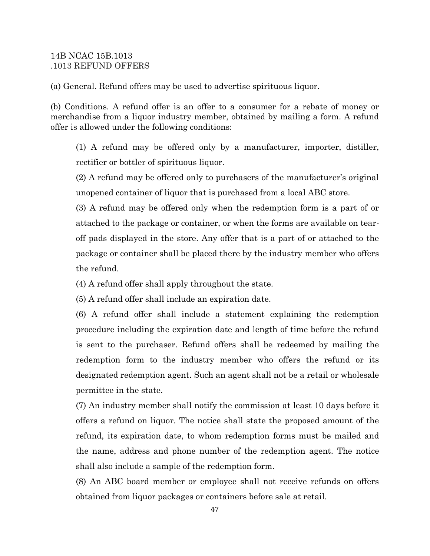## 14B NCAC 15B.1013 .1013 REFUND OFFERS

(a) General. Refund offers may be used to advertise spirituous liquor.

(b) Conditions. A refund offer is an offer to a consumer for a rebate of money or merchandise from a liquor industry member, obtained by mailing a form. A refund offer is allowed under the following conditions:

(1) A refund may be offered only by a manufacturer, importer, distiller, rectifier or bottler of spirituous liquor.

(2) A refund may be offered only to purchasers of the manufacturer's original unopened container of liquor that is purchased from a local ABC store.

(3) A refund may be offered only when the redemption form is a part of or attached to the package or container, or when the forms are available on tearoff pads displayed in the store. Any offer that is a part of or attached to the package or container shall be placed there by the industry member who offers the refund.

(4) A refund offer shall apply throughout the state.

(5) A refund offer shall include an expiration date.

(6) A refund offer shall include a statement explaining the redemption procedure including the expiration date and length of time before the refund is sent to the purchaser. Refund offers shall be redeemed by mailing the redemption form to the industry member who offers the refund or its designated redemption agent. Such an agent shall not be a retail or wholesale permittee in the state.

(7) An industry member shall notify the commission at least 10 days before it offers a refund on liquor. The notice shall state the proposed amount of the refund, its expiration date, to whom redemption forms must be mailed and the name, address and phone number of the redemption agent. The notice shall also include a sample of the redemption form.

(8) An ABC board member or employee shall not receive refunds on offers obtained from liquor packages or containers before sale at retail.